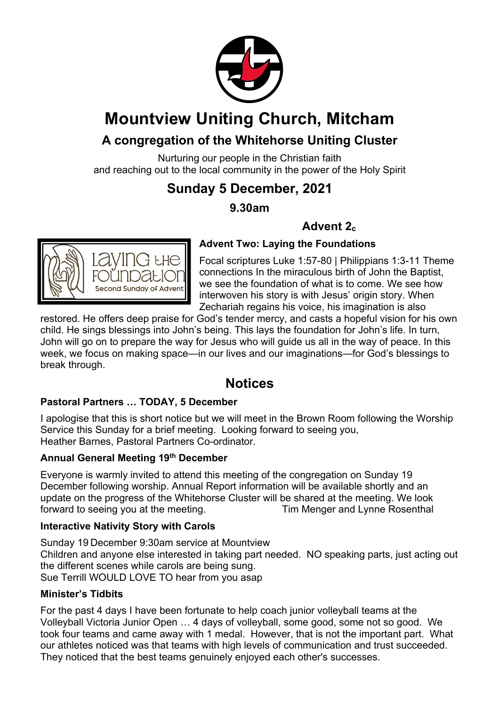

## **Mountview Uniting Church, Mitcham**

## **A congregation of the Whitehorse Uniting Cluster**

Nurturing our people in the Christian faith and reaching out to the local community in the power of the Holy Spirit

## **Sunday 5 December, 2021**

### **9.30am**

## Advent 2<sub>c</sub>



#### **Advent Two: Laying the Foundations**

Focal scriptures Luke 1:57-80 | Philippians 1:3-11 Theme connections In the miraculous birth of John the Baptist, we see the foundation of what is to come. We see how interwoven his story is with Jesus' origin story. When Zechariah regains his voice, his imagination is also

restored. He offers deep praise for God's tender mercy, and casts a hopeful vision for his own child. He sings blessings into John's being. This lays the foundation for John's life. In turn, John will go on to prepare the way for Jesus who will guide us all in the way of peace. In this week, we focus on making space—in our lives and our imaginations—for God's blessings to break through.

## **Notices**

#### **Pastoral Partners … TODAY, 5 December**

I apologise that this is short notice but we will meet in the Brown Room following the Worship Service this Sunday for a brief meeting. Looking forward to seeing you, Heather Barnes, Pastoral Partners Co-ordinator.

#### **Annual General Meeting 19th December**

Everyone is warmly invited to attend this meeting of the congregation on Sunday 19 December following worship. Annual Report information will be available shortly and an update on the progress of the Whitehorse Cluster will be shared at the meeting. We look forward to seeing you at the meeting. Tim Menger and Lynne Rosenthal

#### **Interactive Nativity Story with Carols**

Sunday 19 December 9:30am service at Mountview Children and anyone else interested in taking part needed. NO speaking parts, just acting out the different scenes while carols are being sung. Sue Terrill WOULD LOVE TO hear from you asap

#### **Minister's Tidbits**

For the past 4 days I have been fortunate to help coach junior volleyball teams at the Volleyball Victoria Junior Open … 4 days of volleyball, some good, some not so good. We took four teams and came away with 1 medal. However, that is not the important part. What our athletes noticed was that teams with high levels of communication and trust succeeded. They noticed that the best teams genuinely enjoyed each other's successes.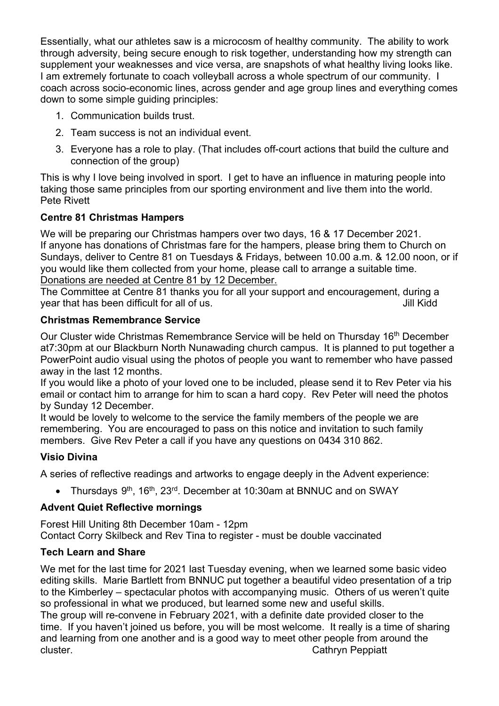Essentially, what our athletes saw is a microcosm of healthy community. The ability to work through adversity, being secure enough to risk together, understanding how my strength can supplement your weaknesses and vice versa, are snapshots of what healthy living looks like. I am extremely fortunate to coach volleyball across a whole spectrum of our community. I coach across socio-economic lines, across gender and age group lines and everything comes down to some simple guiding principles:

- 1. Communication builds trust.
- 2. Team success is not an individual event.
- 3. Everyone has a role to play. (That includes off-court actions that build the culture and connection of the group)

This is why I love being involved in sport. I get to have an influence in maturing people into taking those same principles from our sporting environment and live them into the world. Pete Rivett

#### **Centre 81 Christmas Hampers**

We will be preparing our Christmas hampers over two days, 16 & 17 December 2021. If anyone has donations of Christmas fare for the hampers, please bring them to Church on Sundays, deliver to Centre 81 on Tuesdays & Fridays, between 10.00 a.m. & 12.00 noon, or if you would like them collected from your home, please call to arrange a suitable time. Donations are needed at Centre 81 by 12 December.

The Committee at Centre 81 thanks you for all your support and encouragement, during a year that has been difficult for all of us. The same state of the state of the state of the state of the state of the state of the state of the state of the state of the state of the state of the state of the state of the

#### **Christmas Remembrance Service**

Our Cluster wide Christmas Remembrance Service will be held on Thursday 16<sup>th</sup> December at7:30pm at our Blackburn North Nunawading church campus. It is planned to put together a PowerPoint audio visual using the photos of people you want to remember who have passed away in the last 12 months.

If you would like a photo of your loved one to be included, please send it to Rev Peter via his email or contact him to arrange for him to scan a hard copy. Rev Peter will need the photos by Sunday 12 December.

It would be lovely to welcome to the service the family members of the people we are remembering. You are encouraged to pass on this notice and invitation to such family members. Give Rev Peter a call if you have any questions on 0434 310 862.

#### **Visio Divina**

A series of reflective readings and artworks to engage deeply in the Advent experience:

• Thursdays 9<sup>th</sup>, 16<sup>th</sup>, 23<sup>rd</sup>. December at 10:30am at BNNUC and on SWAY

#### **Advent Quiet Reflective mornings**

Forest Hill Uniting 8th December 10am - 12pm Contact Corry Skilbeck and Rev Tina to register - must be double vaccinated

#### **Tech Learn and Share**

We met for the last time for 2021 last Tuesday evening, when we learned some basic video editing skills. Marie Bartlett from BNNUC put together a beautiful video presentation of a trip to the Kimberley – spectacular photos with accompanying music. Others of us weren't quite so professional in what we produced, but learned some new and useful skills. The group will re-convene in February 2021, with a definite date provided closer to the

time. If you haven't joined us before, you will be most welcome. It really is a time of sharing and learning from one another and is a good way to meet other people from around the cluster. Cathryn Peppiatt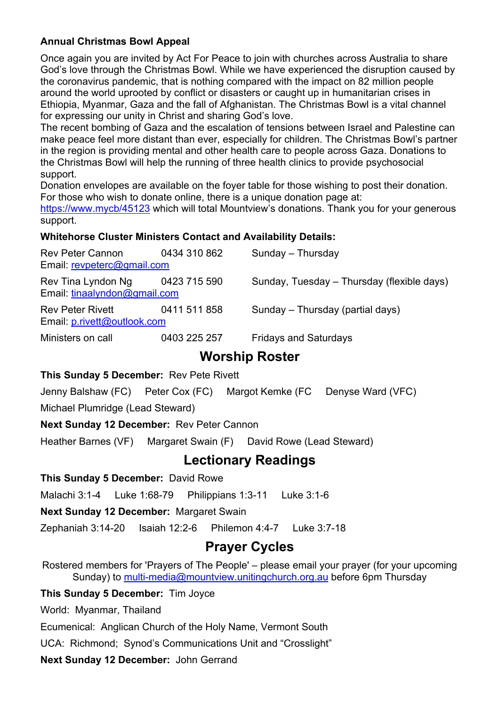#### **Annual Christmas Bowl Appeal**

Once again you are invited by Act For Peace to join with churches across Australia to share God's love through the Christmas Bowl. While we have experienced the disruption caused by the coronavirus pandemic, that is nothing compared with the impact on 82 million people around the world uprooted by conflict or disasters or caught up in humanitarian crises in Ethiopia, Myanmar, Gaza and the fall of Afghanistan. The Christmas Bowl is a vital channel for expressing our unity in Christ and sharing God's love.

The recent bombing of Gaza and the escalation of tensions between Israel and Palestine can make peace feel more distant than ever, especially for children. The Christmas Bowl's partner in the region is providing mental and other health care to people across Gaza. Donations to the Christmas Bowl will help the running of three health clinics to provide psychosocial support.

Donation envelopes are available on the foyer table for those wishing to post their donation. For those who wish to donate online, there is a unique donation page at:

https://www.mycb/45123 which will total Mountview's donations. Thank you for your generous support.

#### **Whitehorse Cluster Ministers Contact and Availability Details:**

| Rev Peter Cannon<br>Email: revpeterc@gmail.com         | 0434 310 862 | Sunday - Thursday                          |
|--------------------------------------------------------|--------------|--------------------------------------------|
| Rev Tina Lyndon Ng<br>Email: tinaalyndon@gmail.com     | 0423 715 590 | Sunday, Tuesday – Thursday (flexible days) |
| <b>Rev Peter Rivett</b><br>Email: p.rivett@outlook.com | 0411 511 858 | Sunday – Thursday (partial days)           |
| Ministers on call                                      | 0403 225 257 | <b>Fridays and Saturdays</b>               |

### **Worship Roster**

#### **This Sunday 5 December:** Rev Pete Rivett

Jenny Balshaw (FC) Peter Cox (FC) Margot Kemke (FC Denyse Ward (VFC)

Michael Plumridge (Lead Steward)

#### **Next Sunday 12 December:** Rev Peter Cannon

Heather Barnes (VF) Margaret Swain (F) David Rowe (Lead Steward)

## **Lectionary Readings**

**This Sunday 5 December:** David Rowe

Malachi 3:1-4 Luke 1:68-79 Philippians 1:3-11 Luke 3:1-6

**Next Sunday 12 December: Margaret Swain** 

Zephaniah 3:14-20 Isaiah 12:2-6 Philemon 4:4-7 Luke 3:7-18

## **Prayer Cycles**

Rostered members for 'Prayers of The People' – please email your prayer (for your upcoming Sunday) to multi-media@mountview.unitingchurch.org.au before 6pm Thursday

#### **This Sunday 5 December:** Tim Joyce

World: Myanmar, Thailand

Ecumenical: Anglican Church of the Holy Name, Vermont South

UCA: Richmond; Synod's Communications Unit and "Crosslight"

**Next Sunday 12 December:** John Gerrand